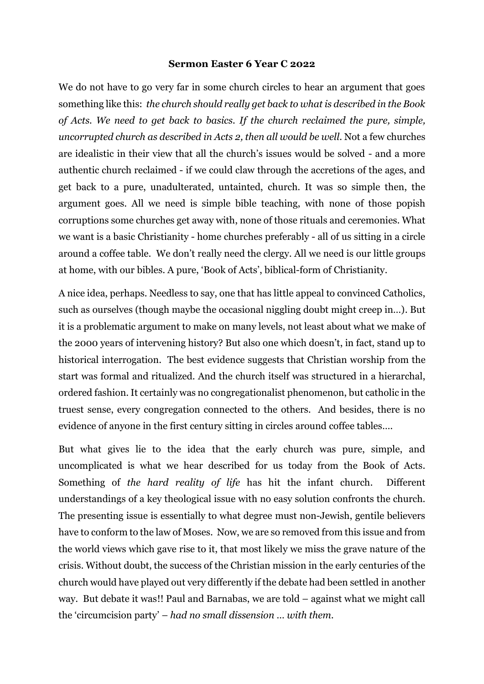## **Sermon Easter 6 Year C 2022**

We do not have to go very far in some church circles to hear an argument that goes something like this: *the church should really get back to what is described in the Book of Acts. We need to get back to basics. If the church reclaimed the pure, simple, uncorrupted church as described in Acts 2, then all would be well.* Not a few churches are idealistic in their view that all the church's issues would be solved - and a more authentic church reclaimed - if we could claw through the accretions of the ages, and get back to a pure, unadulterated, untainted, church. It was so simple then, the argument goes. All we need is simple bible teaching, with none of those popish corruptions some churches get away with, none of those rituals and ceremonies. What we want is a basic Christianity - home churches preferably - all of us sitting in a circle around a coffee table. We don't really need the clergy. All we need is our little groups at home, with our bibles. A pure, 'Book of Acts', biblical-form of Christianity.

A nice idea, perhaps. Needless to say, one that has little appeal to convinced Catholics, such as ourselves (though maybe the occasional niggling doubt might creep in…). But it is a problematic argument to make on many levels, not least about what we make of the 2000 years of intervening history? But also one which doesn't, in fact, stand up to historical interrogation. The best evidence suggests that Christian worship from the start was formal and ritualized. And the church itself was structured in a hierarchal, ordered fashion. It certainly was no congregationalist phenomenon, but catholic in the truest sense, every congregation connected to the others. And besides, there is no evidence of anyone in the first century sitting in circles around coffee tables….

But what gives lie to the idea that the early church was pure, simple, and uncomplicated is what we hear described for us today from the Book of Acts. Something of *the hard reality of life* has hit the infant church. Different understandings of a key theological issue with no easy solution confronts the church. The presenting issue is essentially to what degree must non-Jewish, gentile believers have to conform to the law of Moses. Now, we are so removed from this issue and from the world views which gave rise to it, that most likely we miss the grave nature of the crisis. Without doubt, the success of the Christian mission in the early centuries of the church would have played out very differently if the debate had been settled in another way. But debate it was!! Paul and Barnabas, we are told – against what we might call the 'circumcision party' – *had no small dissension … with them*.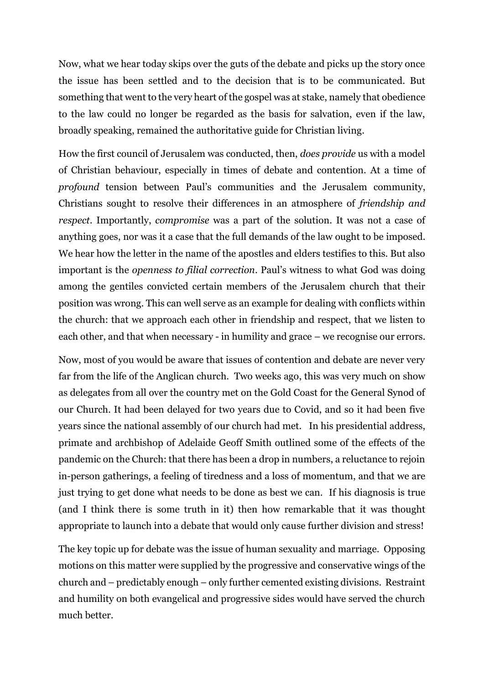Now, what we hear today skips over the guts of the debate and picks up the story once the issue has been settled and to the decision that is to be communicated. But something that went to the very heart of the gospel was at stake, namely that obedience to the law could no longer be regarded as the basis for salvation, even if the law, broadly speaking, remained the authoritative guide for Christian living.

How the first council of Jerusalem was conducted, then, *does provide* us with a model of Christian behaviour, especially in times of debate and contention. At a time of *profound* tension between Paul's communities and the Jerusalem community, Christians sought to resolve their differences in an atmosphere of *friendship and respect*. Importantly, *compromise* was a part of the solution. It was not a case of anything goes, nor was it a case that the full demands of the law ought to be imposed. We hear how the letter in the name of the apostles and elders testifies to this. But also important is the *openness to filial correction*. Paul's witness to what God was doing among the gentiles convicted certain members of the Jerusalem church that their position was wrong. This can well serve as an example for dealing with conflicts within the church: that we approach each other in friendship and respect, that we listen to each other, and that when necessary - in humility and grace – we recognise our errors.

Now, most of you would be aware that issues of contention and debate are never very far from the life of the Anglican church. Two weeks ago, this was very much on show as delegates from all over the country met on the Gold Coast for the General Synod of our Church. It had been delayed for two years due to Covid, and so it had been five years since the national assembly of our church had met. In his presidential address, primate and archbishop of Adelaide Geoff Smith outlined some of the effects of the pandemic on the Church: that there has been a drop in numbers, a reluctance to rejoin in-person gatherings, a feeling of tiredness and a loss of momentum, and that we are just trying to get done what needs to be done as best we can. If his diagnosis is true (and I think there is some truth in it) then how remarkable that it was thought appropriate to launch into a debate that would only cause further division and stress!

The key topic up for debate was the issue of human sexuality and marriage. Opposing motions on this matter were supplied by the progressive and conservative wings of the church and – predictably enough – only further cemented existing divisions. Restraint and humility on both evangelical and progressive sides would have served the church much better.